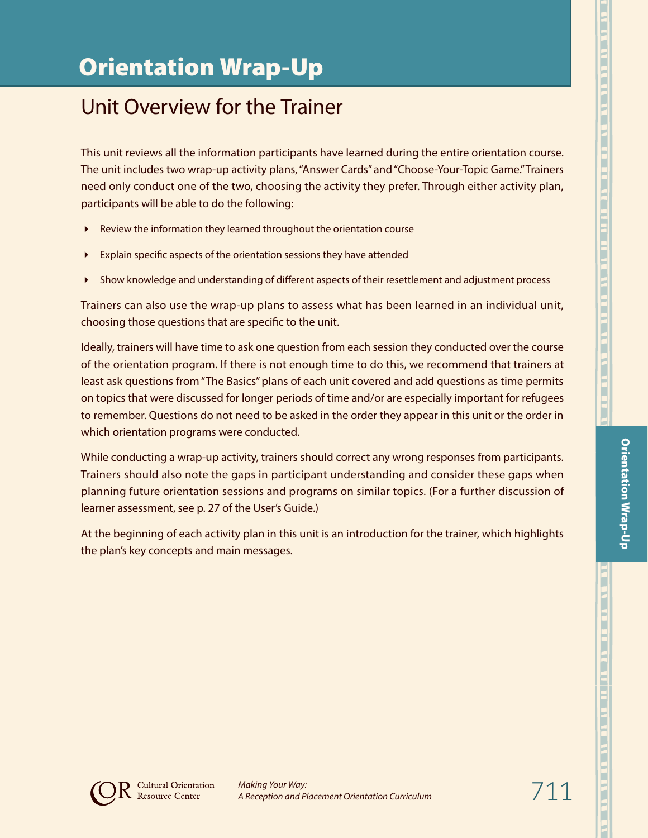# Unit Overview for the Trainer

This unit reviews all the information participants have learned during the entire orientation course. The unit includes two wrap-up activity plans, "Answer Cards" and "Choose-Your-Topic Game." Trainers need only conduct one of the two, choosing the activity they prefer. Through either activity plan, participants will be able to do the following:

- Review the information they learned throughout the orientation course
- Explain specific aspects of the orientation sessions they have attended
- Show knowledge and understanding of different aspects of their resettlement and adjustment process

Trainers can also use the wrap-up plans to assess what has been learned in an individual unit, choosing those questions that are specific to the unit.

Ideally, trainers will have time to ask one question from each session they conducted over the course of the orientation program. If there is not enough time to do this, we recommend that trainers at least ask questions from "The Basics" plans of each unit covered and add questions as time permits on topics that were discussed for longer periods of time and/or are especially important for refugees to remember. Questions do not need to be asked in the order they appear in this unit or the order in which orientation programs were conducted.

While conducting a wrap-up activity, trainers should correct any wrong responses from participants. Trainers should also note the gaps in participant understanding and consider these gaps when planning future orientation sessions and programs on similar topics. (For a further discussion of learner assessment, see p. 27 of the User's Guide.)

At the beginning of each activity plan in this unit is an introduction for the trainer, which highlights the plan's key concepts and main messages.

Orientation Wrap-Up

**Orientation Wrap-Up** 

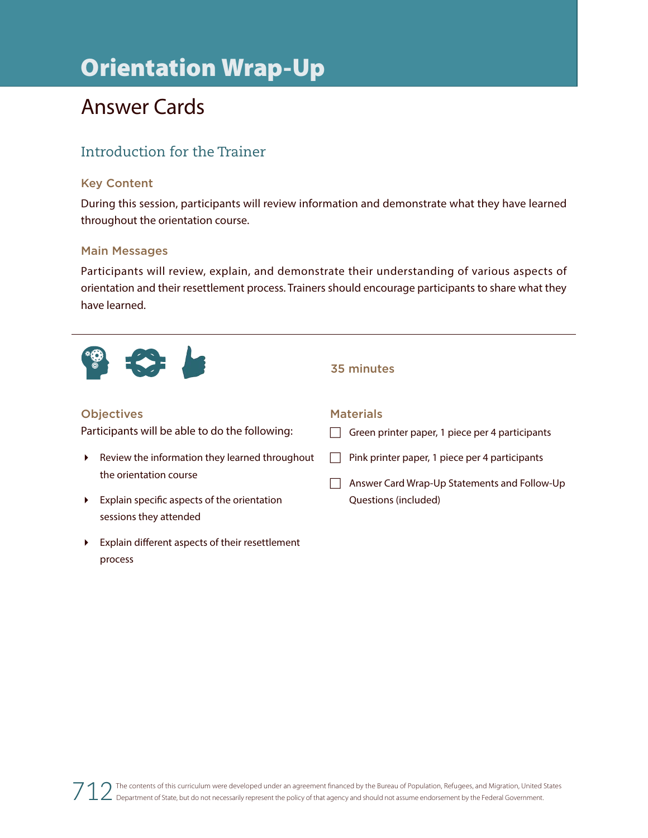# Answer Cards

## Introduction for the Trainer

## Key Content

During this session, participants will review information and demonstrate what they have learned throughout the orientation course.

### Main Messages

Participants will review, explain, and demonstrate their understanding of various aspects of orientation and their resettlement process. Trainers should encourage participants to share what they have learned.



### 35 minutes

## **Objectives**

Participants will be able to do the following:

- $\blacktriangleright$  Review the information they learned throughout the orientation course
- Explain specific aspects of the orientation sessions they attended
- Explain different aspects of their resettlement process

#### **Materials**

 $\Box$  Green printer paper, 1 piece per 4 participants

- $\Box$  Pink printer paper, 1 piece per 4 participants
- $\Box$  Answer Card Wrap-Up Statements and Follow-Up Questions (included)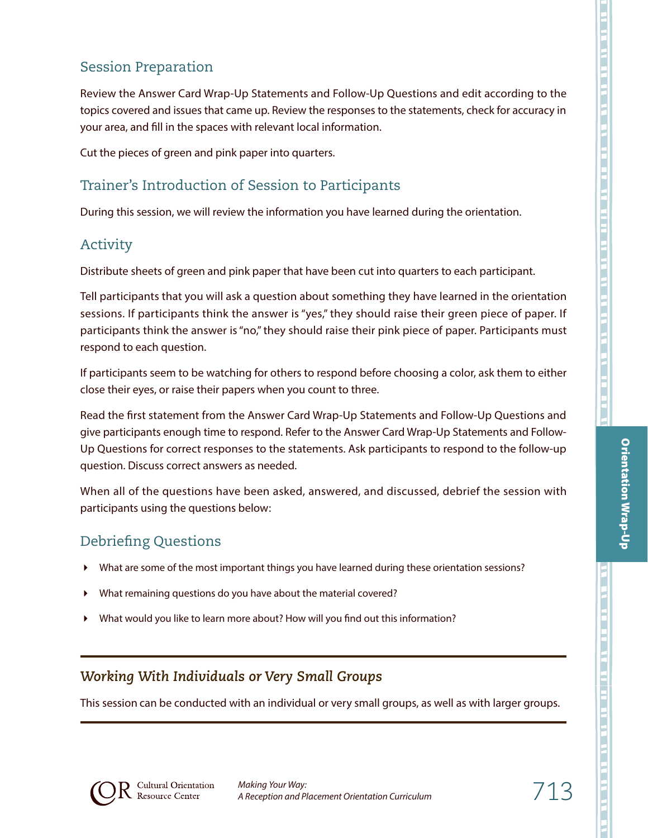Review the Answer Card Wrap-Up Statements and Follow-Up Questions and edit according to the topics covered and issues that came up. Review the responses to the statements, check for accuracy in your area, and fill in the spaces with relevant local information.

Cut the pieces of green and pink paper into quarters.

# Trainer's Introduction of Session to Participants

During this session, we will review the information you have learned during the orientation.

## Activity

Distribute sheets of green and pink paper that have been cut into quarters to each participant.

Tell participants that you will ask a question about something they have learned in the orientation sessions. If participants think the answer is "yes," they should raise their green piece of paper. If participants think the answer is "no," they should raise their pink piece of paper. Participants must respond to each question.

If participants seem to be watching for others to respond before choosing a color, ask them to either close their eyes, or raise their papers when you count to three.

Read the first statement from the Answer Card Wrap-Up Statements and Follow-Up Questions and give participants enough time to respond. Refer to the Answer Card Wrap-Up Statements and Follow-Up Questions for correct responses to the statements. Ask participants to respond to the follow-up question. Discuss correct answers as needed.

When all of the questions have been asked, answered, and discussed, debrief the session with participants using the questions below:

## Debriefing Questions

- What are some of the most important things you have learned during these orientation sessions?
- What remaining questions do you have about the material covered?
- What would you like to learn more about? How will you find out this information?

## *Working With Individuals or Very Small Groups*

This session can be conducted with an individual or very small groups, as well as with larger groups.



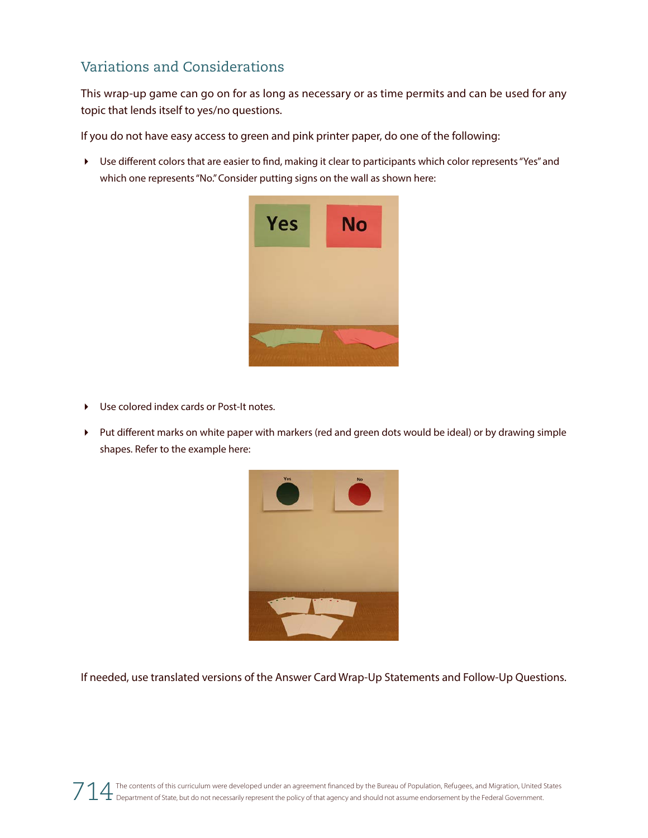## Variations and Considerations

This wrap-up game can go on for as long as necessary or as time permits and can be used for any topic that lends itself to yes/no questions.

If you do not have easy access to green and pink printer paper, do one of the following:

 Use different colors that are easier to find, making it clear to participants which color represents "Yes" and which one represents "No." Consider putting signs on the wall as shown here:



- Use colored index cards or Post-It notes.
- Put different marks on white paper with markers (red and green dots would be ideal) or by drawing simple shapes. Refer to the example here:



If needed, use translated versions of the Answer Card Wrap-Up Statements and Follow-Up Questions.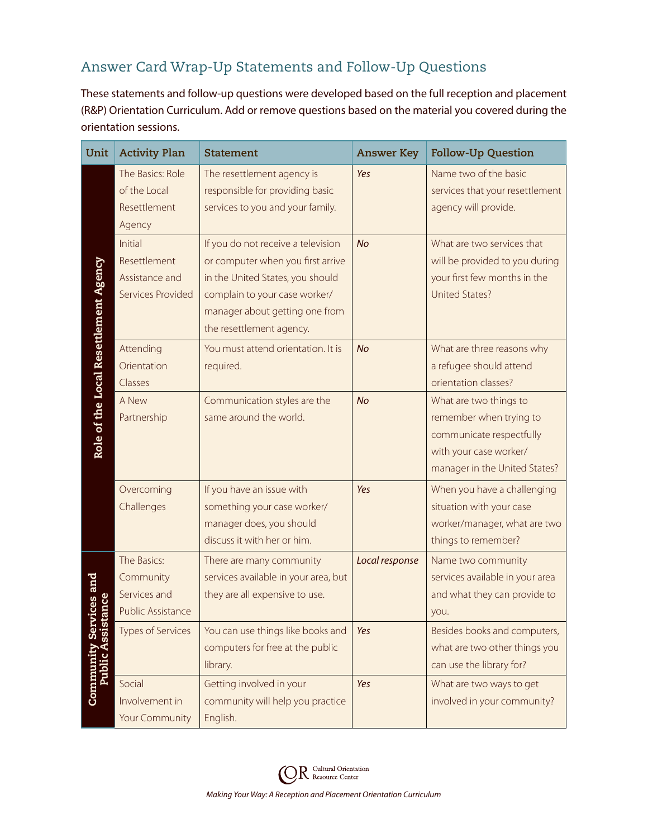# Answer Card Wrap-Up Statements and Follow-Up Questions

These statements and follow-up questions were developed based on the full reception and placement (R&P) Orientation Curriculum. Add or remove questions based on the material you covered during the orientation sessions.

| Unit                                  | <b>Activity Plan</b>                                                 | <b>Statement</b>                                                                                                                                                                                           | <b>Answer Key</b> | <b>Follow-Up Question</b>                                                                                                                |
|---------------------------------------|----------------------------------------------------------------------|------------------------------------------------------------------------------------------------------------------------------------------------------------------------------------------------------------|-------------------|------------------------------------------------------------------------------------------------------------------------------------------|
|                                       | The Basics: Role<br>of the Local<br>Resettlement<br>Agency           | The resettlement agency is<br>responsible for providing basic<br>services to you and your family.                                                                                                          | Yes               | Name two of the basic<br>services that your resettlement<br>agency will provide.                                                         |
| Role of the Local Resettlement Agency | Initial<br>Resettlement<br>Assistance and<br>Services Provided       | If you do not receive a television<br>or computer when you first arrive<br>in the United States, you should<br>complain to your case worker/<br>manager about getting one from<br>the resettlement agency. | <b>No</b>         | What are two services that<br>will be provided to you during<br>your first few months in the<br><b>United States?</b>                    |
|                                       | Attending<br>Orientation<br>Classes                                  | You must attend orientation. It is<br>required.                                                                                                                                                            | <b>No</b>         | What are three reasons why<br>a refugee should attend<br>orientation classes?                                                            |
|                                       | A New<br>Partnership                                                 | Communication styles are the<br>same around the world.                                                                                                                                                     | <b>No</b>         | What are two things to<br>remember when trying to<br>communicate respectfully<br>with your case worker/<br>manager in the United States? |
|                                       | Overcoming<br>Challenges                                             | If you have an issue with<br>something your case worker/<br>manager does, you should<br>discuss it with her or him.                                                                                        | Yes               | When you have a challenging<br>situation with your case<br>worker/manager, what are two<br>things to remember?                           |
| ces and                               | The Basics:<br>Community<br>Services and<br><b>Public Assistance</b> | There are many community<br>services available in your area, but<br>they are all expensive to use.                                                                                                         | Local response    | Name two community<br>services available in your area<br>and what they can provide to<br>you.                                            |
| Ŭ,                                    | <b>Types of Services</b>                                             | You can use things like books and<br>computers for free at the public<br>library.                                                                                                                          | Yes               | Besides books and computers,<br>what are two other things you<br>can use the library for?                                                |
| Community<br>Public A                 | Social<br>Involvement in<br><b>Your Community</b>                    | Getting involved in your<br>community will help you practice<br>English.                                                                                                                                   | Yes               | What are two ways to get<br>involved in your community?                                                                                  |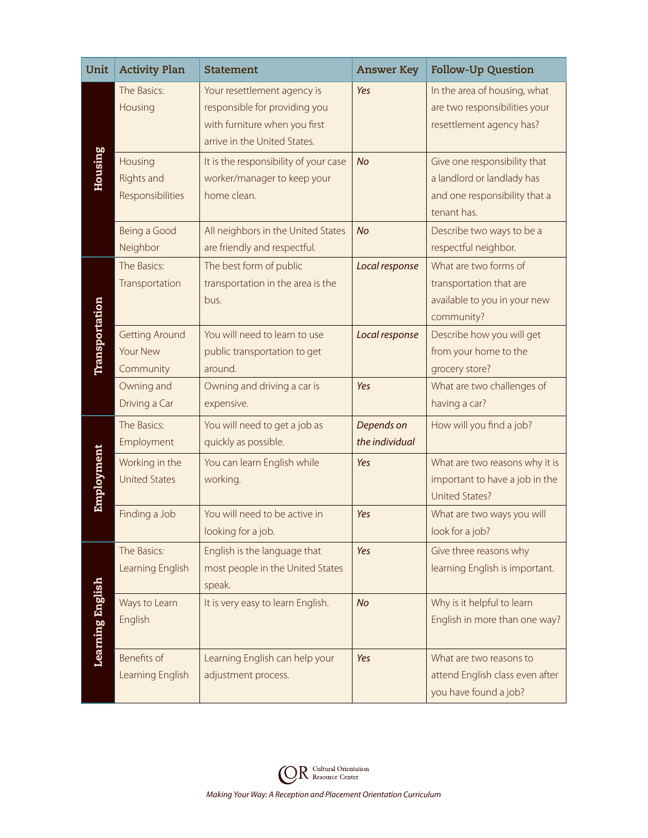| Unit             | <b>Activity Plan</b>                             | <b>Statement</b>                                                                                                              | <b>Answer Key</b>            | <b>Follow-Up Question</b>                                                                                  |
|------------------|--------------------------------------------------|-------------------------------------------------------------------------------------------------------------------------------|------------------------------|------------------------------------------------------------------------------------------------------------|
|                  | The Basics:<br>Housing                           | Your resettlement agency is<br>responsible for providing you<br>with furniture when you first<br>arrive in the United States. | Yes                          | In the area of housing, what<br>are two responsibilities your<br>resettlement agency has?                  |
| <b>Housing</b>   | Housing<br><b>Rights and</b><br>Responsibilities | It is the responsibility of your case<br>worker/manager to keep your<br>home clean.                                           | <b>No</b>                    | Give one responsibility that<br>a landlord or landlady has<br>and one responsibility that a<br>tenant has. |
|                  | Being a Good<br>Neighbor                         | All neighbors in the United States<br>are friendly and respectful.                                                            | <b>No</b>                    | Describe two ways to be a<br>respectful neighbor.                                                          |
|                  | The Basics:<br>Transportation                    | The best form of public<br>transportation in the area is the<br>bus.                                                          | Local response               | What are two forms of<br>transportation that are<br>available to you in your new<br>community?             |
| Transportation   | <b>Getting Around</b><br>Your New<br>Community   | You will need to learn to use<br>public transportation to get<br>around.                                                      | Local response               | Describe how you will get<br>from your home to the<br>grocery store?                                       |
|                  | Owning and<br>Driving a Car                      | Owning and driving a car is<br>expensive.                                                                                     | Yes                          | What are two challenges of<br>having a car?                                                                |
|                  | The Basics:<br>Employment                        | You will need to get a job as<br>quickly as possible.                                                                         | Depends on<br>the individual | How will you find a job?                                                                                   |
| Employment       | Working in the<br><b>United States</b>           | You can learn English while<br>working.                                                                                       | Yes                          | What are two reasons why it is<br>important to have a job in the<br><b>United States?</b>                  |
|                  | Finding a Job                                    | You will need to be active in<br>looking for a job.                                                                           | Yes                          | What are two ways you will<br>look for a job?                                                              |
|                  | The Basics:<br>Learning English                  | English is the language that<br>most people in the United States<br>speak.                                                    | Yes                          | Give three reasons why<br>learning English is important.                                                   |
| Learning English | Ways to Learn<br>English                         | It is very easy to learn English.                                                                                             | <b>No</b>                    | Why is it helpful to learn<br>English in more than one way?                                                |
|                  | Benefits of<br>Learning English                  | Learning English can help your<br>adjustment process.                                                                         | Yes                          | What are two reasons to<br>attend English class even after<br>you have found a job?                        |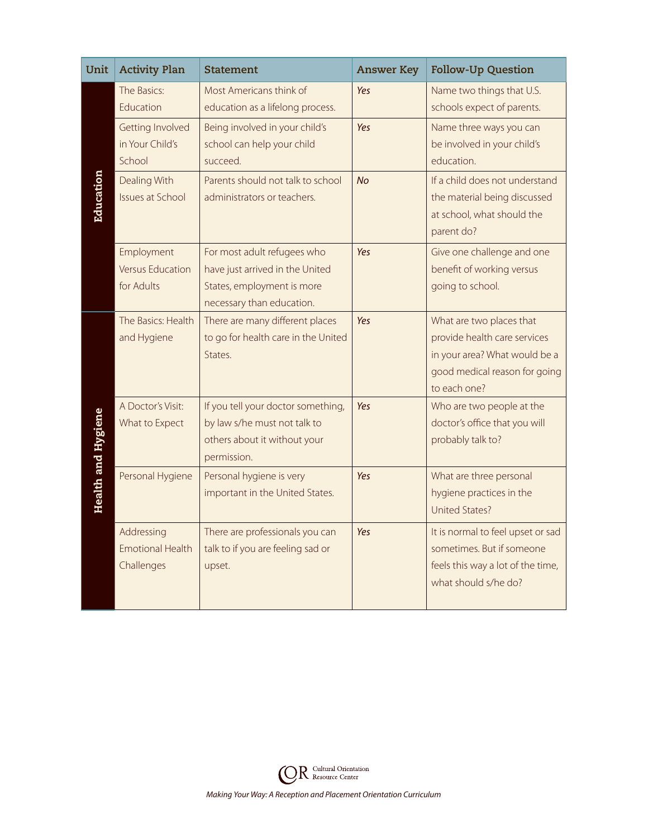| Unit                      | <b>Activity Plan</b>                                | <b>Statement</b>                                                                                                          | <b>Answer Key</b> | <b>Follow-Up Question</b>                                                                                                                  |
|---------------------------|-----------------------------------------------------|---------------------------------------------------------------------------------------------------------------------------|-------------------|--------------------------------------------------------------------------------------------------------------------------------------------|
|                           | The Basics:<br>Education                            | Most Americans think of<br>education as a lifelong process.                                                               | Yes               | Name two things that U.S.<br>schools expect of parents.                                                                                    |
| Education                 | Getting Involved<br>in Your Child's<br>School       | Being involved in your child's<br>school can help your child<br>succeed.                                                  | Yes               | Name three ways you can<br>be involved in your child's<br>education.                                                                       |
|                           | Dealing With<br><b>Issues at School</b>             | Parents should not talk to school<br>administrators or teachers.                                                          | <b>No</b>         | If a child does not understand<br>the material being discussed<br>at school, what should the<br>parent do?                                 |
|                           | Employment<br><b>Versus Education</b><br>for Adults | For most adult refugees who<br>have just arrived in the United<br>States, employment is more<br>necessary than education. | Yes               | Give one challenge and one<br>benefit of working versus<br>going to school.                                                                |
|                           | The Basics: Health<br>and Hygiene                   | There are many different places<br>to go for health care in the United<br>States.                                         | Yes               | What are two places that<br>provide health care services<br>in your area? What would be a<br>good medical reason for going<br>to each one? |
| <b>Health and Hygiene</b> | A Doctor's Visit:<br>What to Expect                 | If you tell your doctor something,<br>by law s/he must not talk to<br>others about it without your<br>permission.         | Yes               | Who are two people at the<br>doctor's office that you will<br>probably talk to?                                                            |
|                           | Personal Hygiene                                    | Personal hygiene is very<br>important in the United States.                                                               | Yes               | What are three personal<br>hygiene practices in the<br>United States?                                                                      |
|                           | Addressing<br><b>Emotional Health</b><br>Challenges | There are professionals you can<br>talk to if you are feeling sad or<br>upset.                                            | Yes               | It is normal to feel upset or sad<br>sometimes. But if someone<br>feels this way a lot of the time,<br>what should s/he do?                |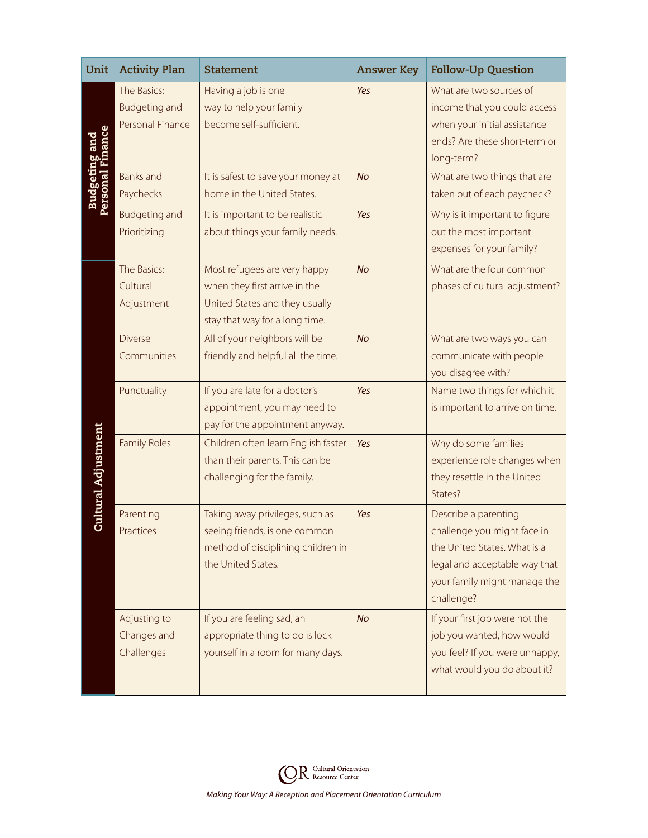| Unit                                      | <b>Activity Plan</b>                                    | <b>Statement</b>                                                                                                                  | <b>Answer Key</b> | <b>Follow-Up Question</b>                                                                                                                                          |
|-------------------------------------------|---------------------------------------------------------|-----------------------------------------------------------------------------------------------------------------------------------|-------------------|--------------------------------------------------------------------------------------------------------------------------------------------------------------------|
| <b>Budgeting and<br/>Personal Finance</b> | The Basics:<br><b>Budgeting and</b><br>Personal Finance | Having a job is one<br>way to help your family<br>become self-sufficient.                                                         | Yes               | What are two sources of<br>income that you could access<br>when your initial assistance<br>ends? Are these short-term or<br>long-term?                             |
|                                           | <b>Banks</b> and<br>Paychecks                           | It is safest to save your money at<br>home in the United States.                                                                  | <b>No</b>         | What are two things that are<br>taken out of each paycheck?                                                                                                        |
|                                           | <b>Budgeting and</b><br>Prioritizing                    | It is important to be realistic<br>about things your family needs.                                                                | Yes               | Why is it important to figure<br>out the most important<br>expenses for your family?                                                                               |
|                                           | The Basics:<br>Cultural<br>Adjustment                   | Most refugees are very happy<br>when they first arrive in the<br>United States and they usually<br>stay that way for a long time. | No                | What are the four common<br>phases of cultural adjustment?                                                                                                         |
| <b>Cultural Adjustment</b>                | <b>Diverse</b><br>Communities                           | All of your neighbors will be<br>friendly and helpful all the time.                                                               | <b>No</b>         | What are two ways you can<br>communicate with people<br>you disagree with?                                                                                         |
|                                           | Punctuality                                             | If you are late for a doctor's<br>appointment, you may need to<br>pay for the appointment anyway.                                 | Yes               | Name two things for which it<br>is important to arrive on time.                                                                                                    |
|                                           | <b>Family Roles</b>                                     | Children often learn English faster<br>than their parents. This can be<br>challenging for the family.                             | Yes               | Why do some families<br>experience role changes when<br>they resettle in the United<br>States?                                                                     |
|                                           | Parenting<br>Practices                                  | Taking away privileges, such as<br>seeing friends, is one common<br>method of disciplining children in<br>the United States.      | Yes               | Describe a parenting<br>challenge you might face in<br>the United States. What is a<br>legal and acceptable way that<br>your family might manage the<br>challenge? |
|                                           | Adjusting to<br>Changes and<br>Challenges               | If you are feeling sad, an<br>appropriate thing to do is lock<br>yourself in a room for many days.                                | <b>No</b>         | If your first job were not the<br>job you wanted, how would<br>you feel? If you were unhappy,<br>what would you do about it?                                       |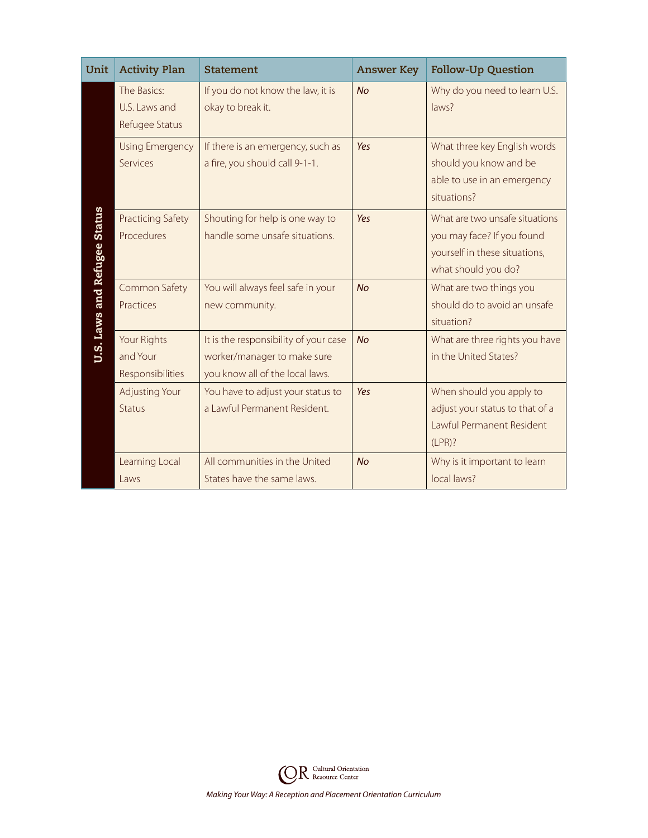| Unit                                | <b>Activity Plan</b>                           | <b>Statement</b>                                                                                        | <b>Answer Key</b> | <b>Follow-Up Question</b>                                                                                            |
|-------------------------------------|------------------------------------------------|---------------------------------------------------------------------------------------------------------|-------------------|----------------------------------------------------------------------------------------------------------------------|
|                                     | The Basics:<br>U.S. Laws and<br>Refugee Status | If you do not know the law, it is<br>okay to break it.                                                  | <b>No</b>         | Why do you need to learn U.S.<br>laws?                                                                               |
|                                     | <b>Using Emergency</b><br>Services             | If there is an emergency, such as<br>a fire, you should call 9-1-1.                                     | Yes               | What three key English words<br>should you know and be<br>able to use in an emergency<br>situations?                 |
| <b>U.S. Laws and Refugee Status</b> | <b>Practicing Safety</b><br>Procedures         | Shouting for help is one way to<br>handle some unsafe situations.                                       | Yes               | What are two unsafe situations<br>you may face? If you found<br>yourself in these situations,<br>what should you do? |
|                                     | Common Safety<br>Practices                     | You will always feel safe in your<br>new community.                                                     | <b>No</b>         | What are two things you<br>should do to avoid an unsafe<br>situation?                                                |
|                                     | Your Rights<br>and Your<br>Responsibilities    | It is the responsibility of your case<br>worker/manager to make sure<br>you know all of the local laws. | <b>No</b>         | What are three rights you have<br>in the United States?                                                              |
|                                     | <b>Adjusting Your</b><br><b>Status</b>         | You have to adjust your status to<br>a Lawful Permanent Resident.                                       | Yes               | When should you apply to<br>adjust your status to that of a<br>Lawful Permanent Resident<br>(LPR)?                   |
|                                     | Learning Local<br>Laws                         | All communities in the United<br>States have the same laws.                                             | <b>No</b>         | Why is it important to learn<br>local laws?                                                                          |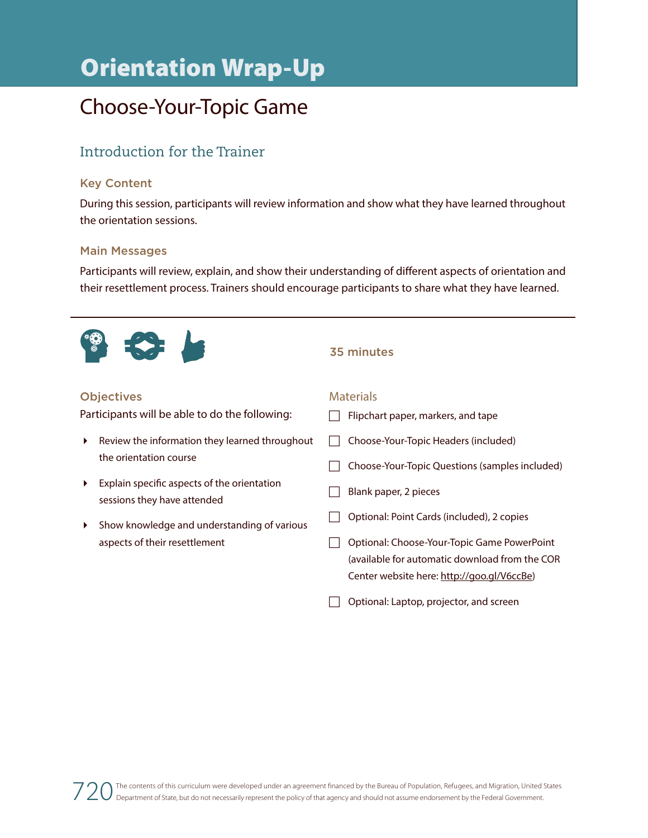# Choose-Your-Topic Game

## Introduction for the Trainer

## Key Content

During this session, participants will review information and show what they have learned throughout the orientation sessions.

### Main Messages

Participants will review, explain, and show their understanding of different aspects of orientation and their resettlement process. Trainers should encourage participants to share what they have learned.



### **Objectives**

Participants will be able to do the following:

- Review the information they learned throughout the orientation course
- Explain specific aspects of the orientation sessions they have attended
- $\blacktriangleright$  Show knowledge and understanding of various aspects of their resettlement

#### 35 minutes

#### **Materials**

 $\Box$  Flipchart paper, markers, and tape  $\Box$  Choose-Your-Topic Headers (included)  $\Box$  Choose-Your-Topic Questions (samples included)  $\Box$  Blank paper, 2 pieces **Optional: Point Cards (included), 2 copies** □ Optional: Choose-Your-Topic Game PowerPoint (available for automatic download from the COR Center website here: http://goo.gl/V6ccBe)  $\Box$  Optional: Laptop, projector, and screen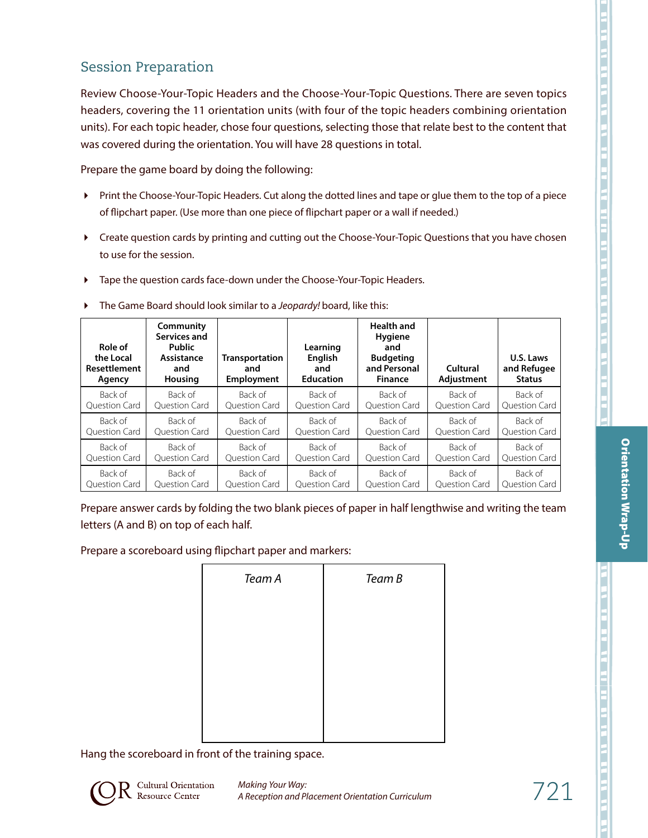## Session Preparation

Review Choose-Your-Topic Headers and the Choose-Your-Topic Questions. There are seven topics headers, covering the 11 orientation units (with four of the topic headers combining orientation units). For each topic header, chose four questions, selecting those that relate best to the content that was covered during the orientation. You will have 28 questions in total.

Prepare the game board by doing the following:

- Print the Choose-Your-Topic Headers. Cut along the dotted lines and tape or glue them to the top of a piece of flipchart paper. (Use more than one piece of flipchart paper or a wall if needed.)
- Create question cards by printing and cutting out the Choose-Your-Topic Questions that you have chosen to use for the session.
- Tape the question cards face-down under the Choose-Your-Topic Headers.

| Role of<br>the Local<br>Resettlement<br>Agency | Community<br>Services and<br><b>Public</b><br>Assistance<br>and<br>Housing | Transportation<br>and<br><b>Employment</b> | Learning<br><b>English</b><br>and<br><b>Education</b> | <b>Health and</b><br><b>Hygiene</b><br>and<br><b>Budgeting</b><br>and Personal<br><b>Finance</b> | Cultural<br>Adjustment | U.S. Laws<br>and Refugee<br><b>Status</b> |
|------------------------------------------------|----------------------------------------------------------------------------|--------------------------------------------|-------------------------------------------------------|--------------------------------------------------------------------------------------------------|------------------------|-------------------------------------------|
| Back of                                        | Back of                                                                    | Back of                                    | Back of                                               | Back of                                                                                          | Back of                | Back of                                   |
| <b>Ouestion Card</b>                           | <b>Ouestion Card</b>                                                       | <b>Ouestion Card</b>                       | <b>Ouestion Card</b>                                  | <b>Ouestion Card</b>                                                                             | <b>Ouestion Card</b>   | <b>Ouestion Card</b>                      |
| Back of                                        | Back of                                                                    | Back of                                    | Back of                                               | Back of                                                                                          | Back of                | Back of                                   |
| <b>Ouestion Card</b>                           | <b>Ouestion Card</b>                                                       | <b>Ouestion Card</b>                       | <b>Ouestion Card</b>                                  | <b>Ouestion Card</b>                                                                             | <b>Ouestion Card</b>   | <b>Ouestion Card</b>                      |
| Back of                                        | Back of                                                                    | Back of                                    | Back of                                               | Back of                                                                                          | Back of                | Back of                                   |
| <b>Ouestion Card</b>                           | <b>Ouestion Card</b>                                                       | Ouestion Card                              | <b>Ouestion Card</b>                                  | <b>Ouestion Card</b>                                                                             | <b>Ouestion Card</b>   | <b>Ouestion Card</b>                      |
| Back of                                        | Back of                                                                    | Back of                                    | Back of                                               | Back of                                                                                          | Back of                | Back of                                   |
| <b>Ouestion Card</b>                           | <b>Ouestion Card</b>                                                       | <b>Ouestion Card</b>                       | <b>Ouestion Card</b>                                  | <b>Ouestion Card</b>                                                                             | <b>Ouestion Card</b>   | <b>Ouestion Card</b>                      |

The Game Board should look similar to a *Jeopardy!* board, like this:

Prepare answer cards by folding the two blank pieces of paper in half lengthwise and writing the team letters (A and B) on top of each half.

Prepare a scoreboard using flipchart paper and markers:

| Team B |
|--------|
|        |
|        |
|        |
|        |
|        |
|        |

Hang the scoreboard in front of the training space.



 $721$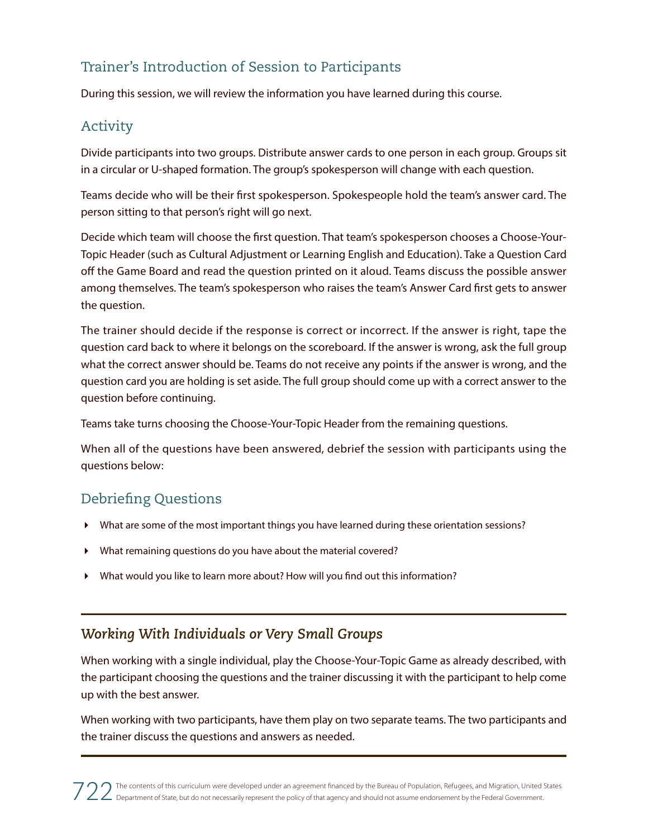## Trainer's Introduction of Session to Participants

During this session, we will review the information you have learned during this course.

## Activity

Divide participants into two groups. Distribute answer cards to one person in each group. Groups sit in a circular or U-shaped formation. The group's spokesperson will change with each question.

Teams decide who will be their first spokesperson. Spokespeople hold the team's answer card. The person sitting to that person's right will go next.

Decide which team will choose the first question. That team's spokesperson chooses a Choose-Your-Topic Header (such as Cultural Adjustment or Learning English and Education). Take a Question Card off the Game Board and read the question printed on it aloud. Teams discuss the possible answer among themselves. The team's spokesperson who raises the team's Answer Card first gets to answer the question.

The trainer should decide if the response is correct or incorrect. If the answer is right, tape the question card back to where it belongs on the scoreboard. If the answer is wrong, ask the full group what the correct answer should be. Teams do not receive any points if the answer is wrong, and the question card you are holding is set aside. The full group should come up with a correct answer to the question before continuing.

Teams take turns choosing the Choose-Your-Topic Header from the remaining questions.

When all of the questions have been answered, debrief the session with participants using the questions below:

## Debriefing Questions

- What are some of the most important things you have learned during these orientation sessions?
- What remaining questions do you have about the material covered?
- What would you like to learn more about? How will you find out this information?

## *Working With Individuals or Very Small Groups*

When working with a single individual, play the Choose-Your-Topic Game as already described, with the participant choosing the questions and the trainer discussing it with the participant to help come up with the best answer.

When working with two participants, have them play on two separate teams. The two participants and the trainer discuss the questions and answers as needed.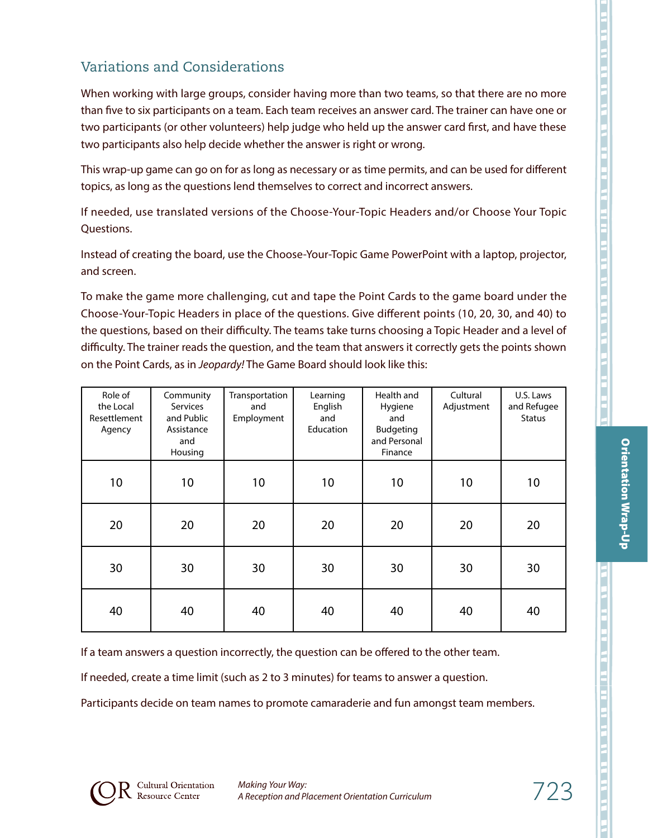**Orientation Wrap-Up** 

When working with large groups, consider having more than two teams, so that there are no more than five to six participants on a team. Each team receives an answer card. The trainer can have one or two participants (or other volunteers) help judge who held up the answer card first, and have these two participants also help decide whether the answer is right or wrong.

This wrap-up game can go on for as long as necessary or as time permits, and can be used for different topics, as long as the questions lend themselves to correct and incorrect answers.

If needed, use translated versions of the Choose-Your-Topic Headers and/or Choose Your Topic Questions.

Instead of creating the board, use the Choose-Your-Topic Game PowerPoint with a laptop, projector, and screen.

To make the game more challenging, cut and tape the Point Cards to the game board under the Choose-Your-Topic Headers in place of the questions. Give different points (10, 20, 30, and 40) to the questions, based on their difficulty. The teams take turns choosing a Topic Header and a level of difficulty. The trainer reads the question, and the team that answers it correctly gets the points shown on the Point Cards, as in *Jeopardy!* The Game Board should look like this:

| Role of<br>the Local<br>Resettlement<br>Agency | Community<br>Services<br>and Public<br>Assistance<br>and<br>Housing | Transportation<br>and<br>Employment | Learning<br>English<br>and<br>Education | Health and<br>Hygiene<br>and<br>Budgeting<br>and Personal<br>Finance | Cultural<br>Adjustment | U.S. Laws<br>and Refugee<br><b>Status</b> |
|------------------------------------------------|---------------------------------------------------------------------|-------------------------------------|-----------------------------------------|----------------------------------------------------------------------|------------------------|-------------------------------------------|
| 10                                             | 10                                                                  | 10                                  | 10                                      | 10                                                                   | 10                     | 10                                        |
| 20                                             | 20                                                                  | 20                                  | 20                                      | 20                                                                   | 20                     | 20                                        |
| 30                                             | 30                                                                  | 30                                  | 30                                      | 30                                                                   | 30                     | 30                                        |
| 40                                             | 40                                                                  | 40                                  | 40                                      | 40                                                                   | 40                     | 40                                        |

If a team answers a question incorrectly, the question can be offered to the other team.

If needed, create a time limit (such as 2 to 3 minutes) for teams to answer a question.

Participants decide on team names to promote camaraderie and fun amongst team members.

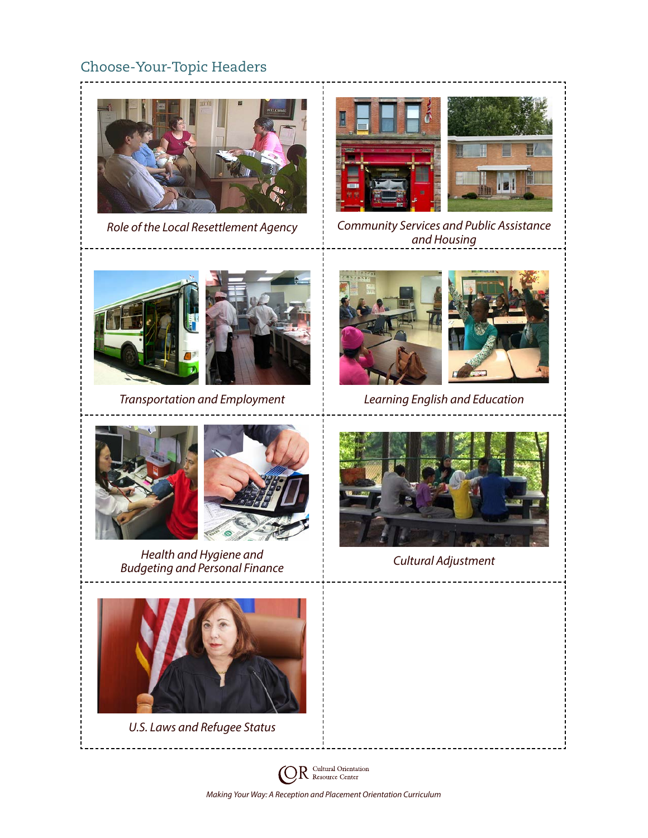## Choose-Your-Topic Headers



*Role of the Local Resettlement Agency*



*Community Services and Public Assistance and Housing*



*Transportation and Employment Learning English and Education*







*Health and Hygiene and Budgeting and Personal Finance Cultural Adjustment*



*U.S. Laws and Refugee Status*





*Making Your Way: A Reception and Placement Orientation Curriculum*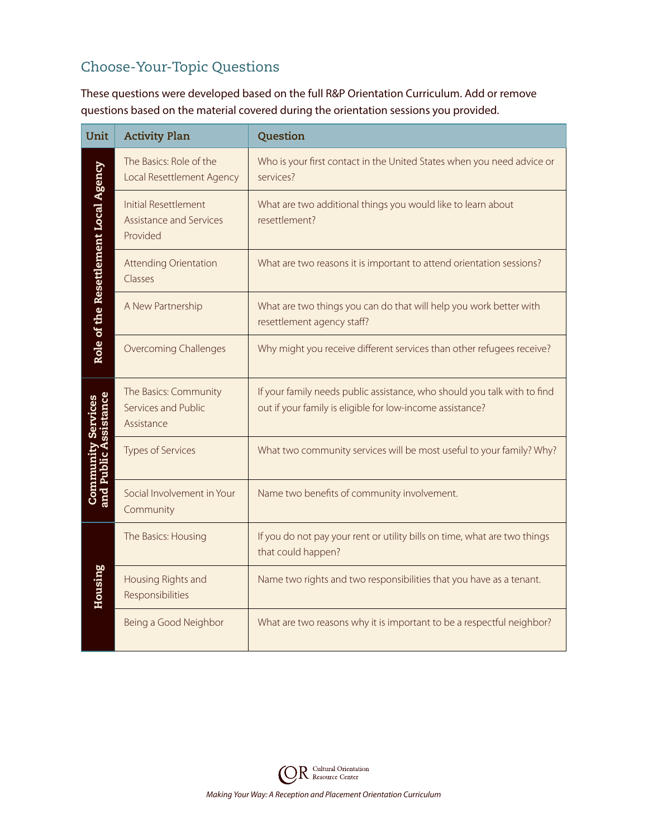# Choose-Your-Topic Questions

These questions were developed based on the full R&P Orientation Curriculum. Add or remove questions based on the material covered during the orientation sessions you provided.

| Unit                                                | <b>Activity Plan</b>                                               | Question                                                                                                                              |
|-----------------------------------------------------|--------------------------------------------------------------------|---------------------------------------------------------------------------------------------------------------------------------------|
|                                                     | The Basics: Role of the<br>Local Resettlement Agency               | Who is your first contact in the United States when you need advice or<br>services?                                                   |
| Role of the Resettlement Local Agency               | <b>Initial Resettlement</b><br>Assistance and Services<br>Provided | What are two additional things you would like to learn about<br>resettlement?                                                         |
|                                                     | <b>Attending Orientation</b><br>Classes                            | What are two reasons it is important to attend orientation sessions?                                                                  |
|                                                     | A New Partnership                                                  | What are two things you can do that will help you work better with<br>resettlement agency staff?                                      |
|                                                     | <b>Overcoming Challenges</b>                                       | Why might you receive different services than other refugees receive?                                                                 |
|                                                     | The Basics: Community<br>Services and Public<br>Assistance         | If your family needs public assistance, who should you talk with to find<br>out if your family is eligible for low-income assistance? |
| <b>Community Services<br/>and Public Assistance</b> | <b>Types of Services</b>                                           | What two community services will be most useful to your family? Why?                                                                  |
|                                                     | Social Involvement in Your<br>Community                            | Name two benefits of community involvement.                                                                                           |
|                                                     | The Basics: Housing                                                | If you do not pay your rent or utility bills on time, what are two things<br>that could happen?                                       |
| <b>Housing</b>                                      | Housing Rights and<br>Responsibilities                             | Name two rights and two responsibilities that you have as a tenant.                                                                   |
|                                                     | Being a Good Neighbor                                              | What are two reasons why it is important to be a respectful neighbor?                                                                 |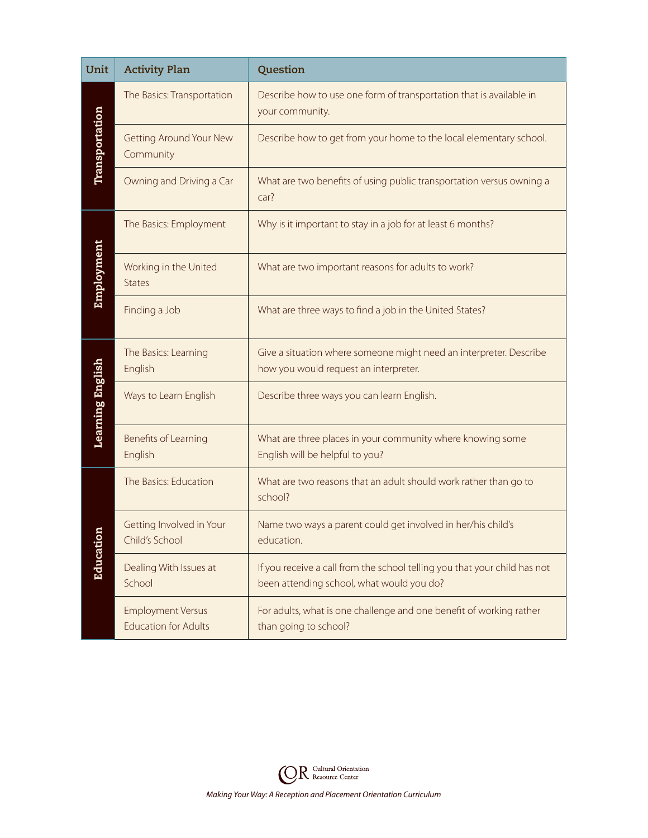| Unit             | <b>Activity Plan</b>                                    | Question                                                                                                               |
|------------------|---------------------------------------------------------|------------------------------------------------------------------------------------------------------------------------|
|                  | The Basics: Transportation                              | Describe how to use one form of transportation that is available in<br>your community.                                 |
| Transportation   | <b>Getting Around Your New</b><br>Community             | Describe how to get from your home to the local elementary school.                                                     |
|                  | Owning and Driving a Car                                | What are two benefits of using public transportation versus owning a<br>car?                                           |
|                  | The Basics: Employment                                  | Why is it important to stay in a job for at least 6 months?                                                            |
| Employment       | Working in the United<br><b>States</b>                  | What are two important reasons for adults to work?                                                                     |
|                  | Finding a Job                                           | What are three ways to find a job in the United States?                                                                |
|                  | The Basics: Learning<br>English                         | Give a situation where someone might need an interpreter. Describe<br>how you would request an interpreter.            |
| Learning English | Ways to Learn English                                   | Describe three ways you can learn English.                                                                             |
|                  | Benefits of Learning<br>English                         | What are three places in your community where knowing some<br>English will be helpful to you?                          |
|                  | The Basics: Education                                   | What are two reasons that an adult should work rather than go to<br>school?                                            |
| d<br>Education   | Getting Involved in Your<br>Child's School              | Name two ways a parent could get involved in her/his child's<br>education.                                             |
|                  | Dealing With Issues at<br>School                        | If you receive a call from the school telling you that your child has not<br>been attending school, what would you do? |
|                  | <b>Employment Versus</b><br><b>Education for Adults</b> | For adults, what is one challenge and one benefit of working rather<br>than going to school?                           |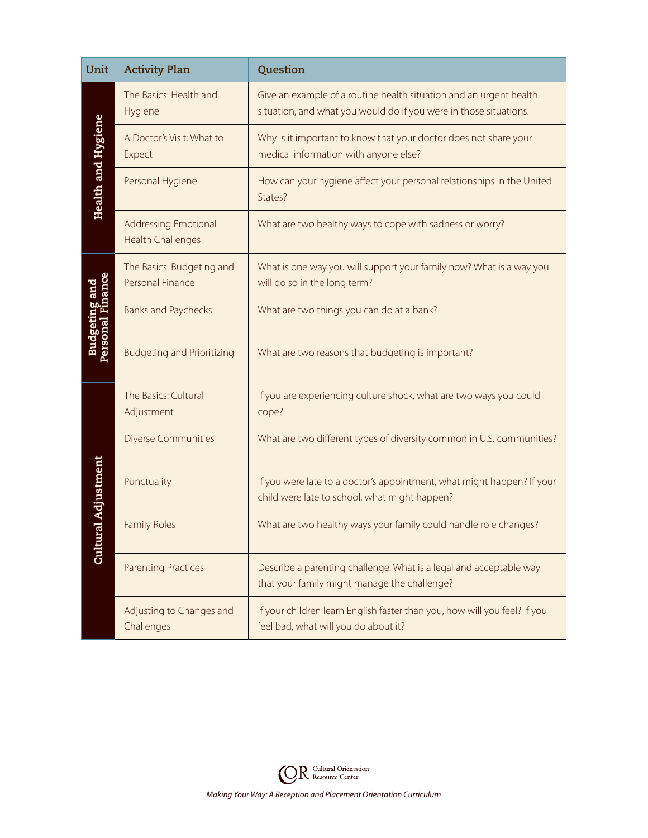| Unit                                      | <b>Activity Plan</b>                                    | Question                                                                                                                                |
|-------------------------------------------|---------------------------------------------------------|-----------------------------------------------------------------------------------------------------------------------------------------|
|                                           | The Basics: Health and<br>Hygiene                       | Give an example of a routine health situation and an urgent health<br>situation, and what you would do if you were in those situations. |
|                                           | A Doctor's Visit: What to<br>Expect                     | Why is it important to know that your doctor does not share your<br>medical information with anyone else?                               |
| <b>Health and Hygiene</b>                 | Personal Hygiene                                        | How can your hygiene affect your personal relationships in the United<br>States?                                                        |
|                                           | <b>Addressing Emotional</b><br><b>Health Challenges</b> | What are two healthy ways to cope with sadness or worry?                                                                                |
|                                           | The Basics: Budgeting and<br>Personal Finance           | What is one way you will support your family now? What is a way you<br>will do so in the long term?                                     |
| <b>Budgeting and<br/>Personal Finance</b> | <b>Banks and Paychecks</b>                              | What are two things you can do at a bank?                                                                                               |
|                                           | <b>Budgeting and Prioritizing</b>                       | What are two reasons that budgeting is important?                                                                                       |
|                                           | The Basics: Cultural<br>Adjustment                      | If you are experiencing culture shock, what are two ways you could<br>cope?                                                             |
|                                           | <b>Diverse Communities</b>                              | What are two different types of diversity common in U.S. communities?                                                                   |
| al Adjustment                             | Punctuality                                             | If you were late to a doctor's appointment, what might happen? If your<br>child were late to school, what might happen?                 |
| <b>Cultur</b>                             | <b>Family Roles</b>                                     | What are two healthy ways your family could handle role changes?                                                                        |
|                                           | <b>Parenting Practices</b>                              | Describe a parenting challenge. What is a legal and acceptable way<br>that your family might manage the challenge?                      |
|                                           | Adjusting to Changes and<br>Challenges                  | If your children learn English faster than you, how will you feel? If you<br>feel bad, what will you do about it?                       |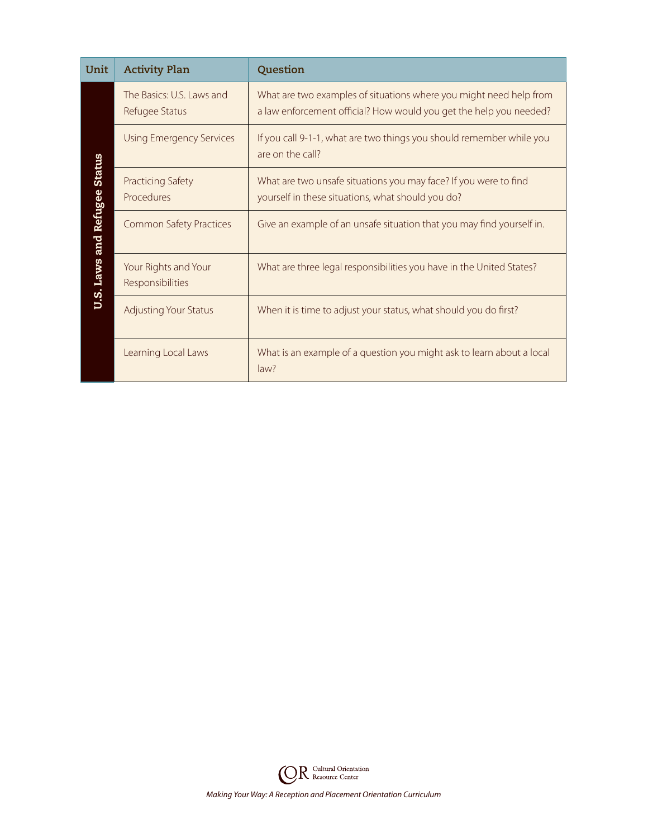| Unit                                | <b>Activity Plan</b>                        | Question                                                                                                                                 |
|-------------------------------------|---------------------------------------------|------------------------------------------------------------------------------------------------------------------------------------------|
| <b>U.S. Laws and Refugee Status</b> | The Basics: U.S. Laws and<br>Refugee Status | What are two examples of situations where you might need help from<br>a law enforcement official? How would you get the help you needed? |
|                                     | <b>Using Emergency Services</b>             | If you call 9-1-1, what are two things you should remember while you<br>are on the call?                                                 |
|                                     | <b>Practicing Safety</b><br>Procedures      | What are two unsafe situations you may face? If you were to find<br>yourself in these situations, what should you do?                    |
|                                     | <b>Common Safety Practices</b>              | Give an example of an unsafe situation that you may find yourself in.                                                                    |
|                                     | Your Rights and Your<br>Responsibilities    | What are three legal responsibilities you have in the United States?                                                                     |
|                                     | <b>Adjusting Your Status</b>                | When it is time to adjust your status, what should you do first?                                                                         |
|                                     | Learning Local Laws                         | What is an example of a question you might ask to learn about a local<br>law?                                                            |